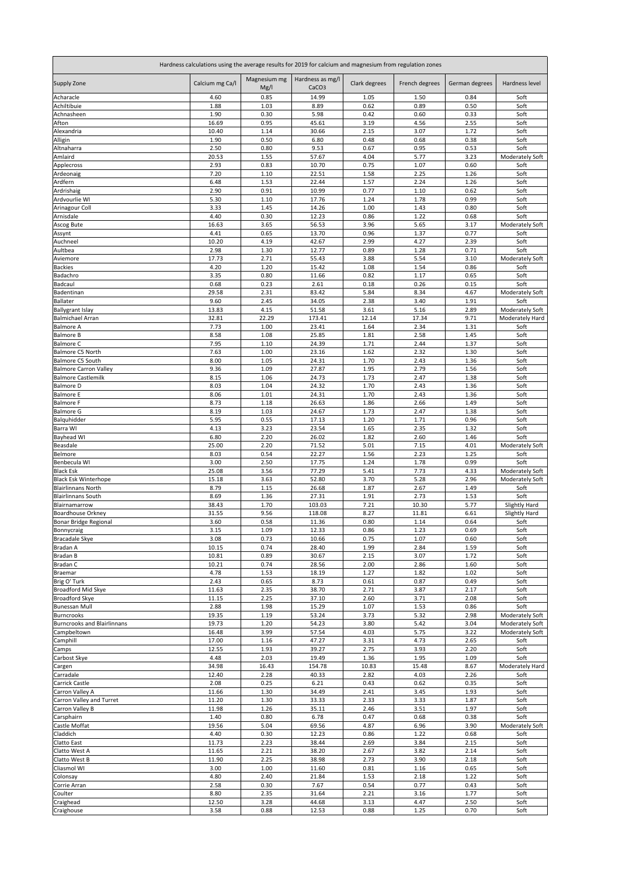| Hardness calculations using the average results for 2019 for calcium and magnesium from regulation zones |                 |                      |                                       |               |                |                |                                    |  |
|----------------------------------------------------------------------------------------------------------|-----------------|----------------------|---------------------------------------|---------------|----------------|----------------|------------------------------------|--|
| Supply Zone                                                                                              | Calcium mg Ca/l | Magnesium mg<br>Mg/I | Hardness as mg/l<br>CaCO <sub>3</sub> | Clark degrees | French degrees | German degrees | Hardness level                     |  |
| Acharacle                                                                                                | 4.60            | 0.85                 | 14.99                                 | 1.05          | 1.50           | 0.84           | Soft                               |  |
| Achiltibuie                                                                                              | 1.88            | 1.03                 | 8.89                                  | 0.62          | 0.89           | 0.50           | Soft                               |  |
| Achnasheen                                                                                               | 1.90            | 0.30                 | 5.98                                  | 0.42          | 0.60           | 0.33           | Soft                               |  |
| Afton<br>Alexandria                                                                                      | 16.69<br>10.40  | 0.95<br>1.14         | 45.61<br>30.66                        | 3.19<br>2.15  | 4.56<br>3.07   | 2.55<br>1.72   | Soft<br>Soft                       |  |
| Alligin                                                                                                  | 1.90            | 0.50                 | 6.80                                  | 0.48          | 0.68           | 0.38           | Soft                               |  |
| Altnaharra                                                                                               | 2.50            | 0.80                 | 9.53                                  | 0.67          | 0.95           | 0.53           | Soft                               |  |
| Amlaird                                                                                                  | 20.53           | 1.55                 | 57.67                                 | 4.04          | 5.77           | 3.23           | Moderately Soft                    |  |
| Applecross                                                                                               | 2.93            | 0.83                 | 10.70                                 | 0.75          | 1.07           | 0.60           | Soft                               |  |
| Ardeonaig                                                                                                | 7.20            | 1.10                 | 22.51                                 | 1.58          | 2.25           | 1.26           | Soft                               |  |
| Ardfern<br>Ardrishaig                                                                                    | 6.48<br>2.90    | 1.53<br>0.91         | 22.44<br>10.99                        | 1.57<br>0.77  | 2.24<br>1.10   | 1.26<br>0.62   | Soft<br>Soft                       |  |
| Ardvourlie WI                                                                                            | 5.30            | 1.10                 | 17.76                                 | 1.24          | 1.78           | 0.99           | Soft                               |  |
| Arinagour Coll                                                                                           | 3.33            | 1.45                 | 14.26                                 | 1.00          | 1.43           | 0.80           | Soft                               |  |
| Arnisdale                                                                                                | 4.40            | 0.30                 | 12.23                                 | 0.86          | 1.22           | 0.68           | Soft                               |  |
| Ascog Bute                                                                                               | 16.63           | 3.65                 | 56.53                                 | 3.96          | 5.65           | 3.17           | Moderately Soft                    |  |
| Assynt                                                                                                   | 4.41            | 0.65                 | 13.70                                 | 0.96          | 1.37           | 0.77           | Soft                               |  |
| Auchneel<br>Aultbea                                                                                      | 10.20<br>2.98   | 4.19<br>1.30         | 42.67<br>12.77                        | 2.99<br>0.89  | 4.27<br>1.28   | 2.39<br>0.71   | Soft<br>Soft                       |  |
| Aviemore                                                                                                 | 17.73           | 2.71                 | 55.43                                 | 3.88          | 5.54           | 3.10           | Moderately Soft                    |  |
| <b>Backies</b>                                                                                           | 4.20            | 1.20                 | 15.42                                 | 1.08          | 1.54           | 0.86           | Soft                               |  |
| Badachro                                                                                                 | 3.35            | 0.80                 | 11.66                                 | 0.82          | 1.17           | 0.65           | Soft                               |  |
| Badcaul                                                                                                  | 0.68            | 0.23                 | 2.61                                  | 0.18          | 0.26           | 0.15           | Soft                               |  |
| Badentinan                                                                                               | 29.58           | 2.31                 | 83.42                                 | 5.84          | 8.34           | 4.67           | Moderately Soft                    |  |
| Ballater                                                                                                 | 9.60            | 2.45                 | 34.05                                 | 2.38          | 3.40           | 1.91           | Soft                               |  |
| <b>Ballygrant Islay</b><br><b>Balmichael Arran</b>                                                       | 13.83<br>32.81  | 4.15<br>22.29        | 51.58<br>173.41                       | 3.61<br>12.14 | 5.16<br>17.34  | 2.89<br>9.71   | Moderately Soft<br>Moderately Hard |  |
| <b>Balmore A</b>                                                                                         | 7.73            | 1.00                 | 23.41                                 | 1.64          | 2.34           | 1.31           | Soft                               |  |
| <b>Balmore B</b>                                                                                         | 8.58            | 1.08                 | 25.85                                 | 1.81          | 2.58           | 1.45           | Soft                               |  |
| <b>Balmore C</b>                                                                                         | 7.95            | 1.10                 | 24.39                                 | 1.71          | 2.44           | 1.37           | Soft                               |  |
| Balmore C5 North                                                                                         | 7.63            | 1.00                 | 23.16                                 | 1.62          | 2.32           | 1.30           | Soft                               |  |
| Balmore C5 South                                                                                         | 8.00            | 1.05                 | 24.31                                 | 1.70          | 2.43           | 1.36           | Soft                               |  |
| <b>Balmore Carron Valley</b><br><b>Balmore Castlemilk</b>                                                | 9.36<br>8.15    | 1.09<br>1.06         | 27.87<br>24.73                        | 1.95<br>1.73  | 2.79<br>2.47   | 1.56<br>1.38   | Soft<br>Soft                       |  |
| <b>Balmore D</b>                                                                                         | 8.03            | 1.04                 | 24.32                                 | 1.70          | 2.43           | 1.36           | Soft                               |  |
| <b>Balmore E</b>                                                                                         | 8.06            | 1.01                 | 24.31                                 | 1.70          | 2.43           | 1.36           | Soft                               |  |
| <b>Balmore F</b>                                                                                         | 8.73            | 1.18                 | 26.63                                 | 1.86          | 2.66           | 1.49           | Soft                               |  |
| <b>Balmore G</b>                                                                                         | 8.19            | 1.03                 | 24.67                                 | 1.73          | 2.47           | 1.38           | Soft                               |  |
| Balquhidder                                                                                              | 5.95            | 0.55                 | 17.13                                 | 1.20          | 1.71           | 0.96           | Soft                               |  |
| Barra WI<br>Bayhead WI                                                                                   | 4.13<br>6.80    | 3.23<br>2.20         | 23.54<br>26.02                        | 1.65<br>1.82  | 2.35<br>2.60   | 1.32<br>1.46   | Soft<br>Soft                       |  |
| Beasdale                                                                                                 | 25.00           | 2.20                 | 71.52                                 | 5.01          | 7.15           | 4.01           | Moderately Soft                    |  |
| Belmore                                                                                                  | 8.03            | 0.54                 | 22.27                                 | 1.56          | 2.23           | 1.25           | Soft                               |  |
| Benbecula WI                                                                                             | 3.00            | 2.50                 | 17.75                                 | 1.24          | 1.78           | 0.99           | Soft                               |  |
| <b>Black Esk</b>                                                                                         | 25.08           | 3.56                 | 77.29                                 | 5.41          | 7.73           | 4.33           | Moderately Soft                    |  |
| <b>Black Esk Winterhope</b>                                                                              | 15.18           | 3.63                 | 52.80                                 | 3.70          | 5.28           | 2.96           | Moderately Soft                    |  |
| <b>Blairlinnans North</b><br><b>Blairlinnans South</b>                                                   | 8.79<br>8.69    | 1.15<br>1.36         | 26.68<br>27.31                        | 1.87<br>1.91  | 2.67<br>2.73   | 1.49<br>1.53   | Soft<br>Soft                       |  |
| Blairnamarrow                                                                                            | 38.43           | 1.70                 | 103.03                                | 7.21          | 10.30          | 5.77           | <b>Slightly Hard</b>               |  |
| <b>Boardhouse Orkney</b>                                                                                 | 31.55           | 9.56                 | 118.08                                | 8.27          | 11.81          | 6.61           | Slightly Hard                      |  |
| Bonar Bridge Regional                                                                                    | 3.60            | 0.58                 | 11.36                                 | 0.80          | 1.14           | 0.64           | Soft                               |  |
| Bonnycraig                                                                                               | 3.15            | 1.09                 | 12.33                                 | 0.86          | 1.23           | 0.69           | Soft                               |  |
| <b>Bracadale Skye</b>                                                                                    | 3.08            | 0.73                 | 10.66                                 | 0.75          | 1.07           | 0.60           | Soft                               |  |
| Bradan A                                                                                                 | 10.15           | 0.74                 | 28.40                                 | 1.99          | 2.84           | 1.59           | Soft                               |  |
| Bradan B<br>Bradan C                                                                                     | 10.81<br>10.21  | 0.89<br>0.74         | 30.67<br>28.56                        | 2.15<br>2.00  | 3.07<br>2.86   | 1.72<br>1.60   | Soft<br>Soft                       |  |
| Braemar                                                                                                  | 4.78            | 1.53                 | 18.19                                 | 1.27          | 1.82           | 1.02           | Soft                               |  |
| Brig O' Turk                                                                                             | 2.43            | 0.65                 | 8.73                                  | 0.61          | 0.87           | 0.49           | Soft                               |  |
| Broadford Mid Skye                                                                                       | 11.63           | 2.35                 | 38.70                                 | 2.71          | 3.87           | 2.17           | Soft                               |  |
| <b>Broadford Skye</b>                                                                                    | 11.15           | 2.25                 | 37.10                                 | 2.60          | 3.71           | 2.08           | Soft                               |  |
| <b>Bunessan Mull</b>                                                                                     | 2.88            | 1.98                 | 15.29                                 | 1.07          | 1.53           | 0.86           | Soft                               |  |
| Burncrooks<br><b>Burncrooks and Blairlinnans</b>                                                         | 19.35<br>19.73  | 1.19<br>1.20         | 53.24<br>54.23                        | 3.73<br>3.80  | 5.32<br>5.42   | 2.98<br>3.04   | Moderately Soft                    |  |
| Campbeltown                                                                                              | 16.48           | 3.99                 | 57.54                                 | 4.03          | 5.75           | 3.22           | Moderately Soft<br>Moderately Soft |  |
| Camphill                                                                                                 | 17.00           | 1.16                 | 47.27                                 | 3.31          | 4.73           | 2.65           | Soft                               |  |
| Camps                                                                                                    | 12.55           | 1.93                 | 39.27                                 | 2.75          | 3.93           | 2.20           | Soft                               |  |
| Carbost Skye                                                                                             | 4.48            | 2.03                 | 19.49                                 | 1.36          | 1.95           | 1.09           | Soft                               |  |
| Cargen                                                                                                   | 34.98           | 16.43                | 154.78                                | 10.83         | 15.48          | 8.67           | Moderately Hard                    |  |
| Carradale                                                                                                | 12.40           | 2.28                 | 40.33                                 | 2.82          | 4.03           | 2.26           | Soft                               |  |
| Carrick Castle<br>Carron Valley A                                                                        | 2.08<br>11.66   | 0.25<br>1.30         | 6.21<br>34.49                         | 0.43<br>2.41  | 0.62<br>3.45   | 0.35<br>1.93   | Soft<br>Soft                       |  |
| Carron Valley and Turret                                                                                 | 11.20           | 1.30                 | 33.33                                 | 2.33          | 3.33           | 1.87           | Soft                               |  |
| Carron Valley B                                                                                          | 11.98           | 1.26                 | 35.11                                 | 2.46          | 3.51           | 1.97           | Soft                               |  |
| Carsphairn                                                                                               | 1.40            | 0.80                 | 6.78                                  | 0.47          | 0.68           | 0.38           | Soft                               |  |
| Castle Moffat                                                                                            | 19.56           | 5.04                 | 69.56                                 | 4.87          | 6.96           | 3.90           | Moderately Soft                    |  |
| Claddich                                                                                                 | 4.40            | 0.30                 | 12.23                                 | 0.86          | 1.22           | 0.68           | Soft                               |  |
| Clatto East<br>Clatto West A                                                                             | 11.73<br>11.65  | 2.23<br>2.21         | 38.44<br>38.20                        | 2.69<br>2.67  | 3.84<br>3.82   | 2.15<br>2.14   | Soft<br>Soft                       |  |
| Clatto West B                                                                                            | 11.90           | 2.25                 | 38.98                                 | 2.73          | 3.90           | 2.18           | Soft                               |  |
| Cliasmol WI                                                                                              | 3.00            | 1.00                 | 11.60                                 | 0.81          | 1.16           | 0.65           | Soft                               |  |
| Colonsay                                                                                                 | 4.80            | 2.40                 | 21.84                                 | 1.53          | 2.18           | 1.22           | Soft                               |  |
| Corrie Arran                                                                                             | 2.58            | 0.30                 | 7.67                                  | 0.54          | 0.77           | 0.43           | Soft                               |  |
| Coulter                                                                                                  | 8.80            | 2.35                 | 31.64                                 | 2.21          | 3.16           | 1.77           | Soft                               |  |
| Craighead                                                                                                | 12.50           | 3.28                 | 44.68                                 | 3.13          | 4.47           | 2.50           | Soft                               |  |
| Craighouse                                                                                               | 3.58            | 0.88                 | 12.53                                 | 0.88          | 1.25           | 0.70           | Soft                               |  |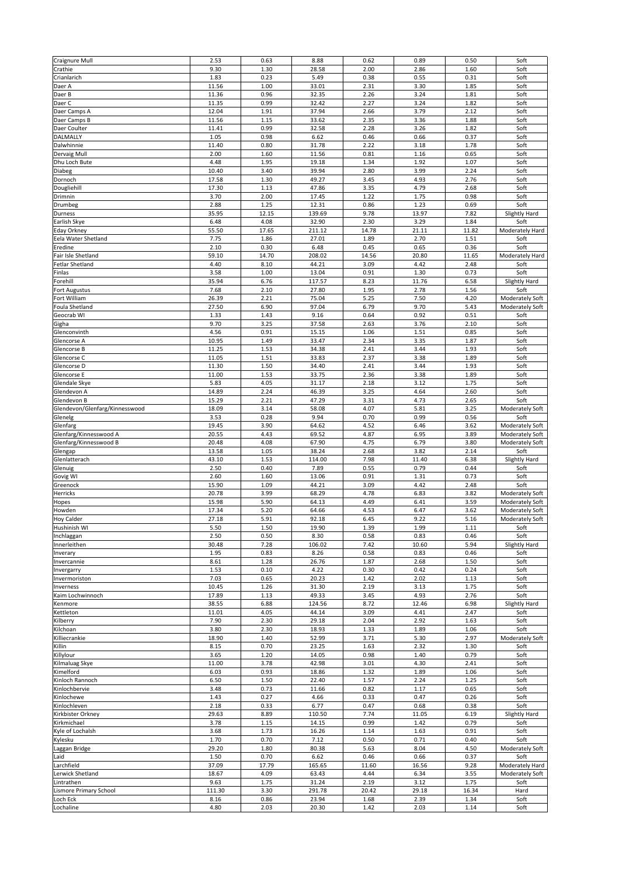| Craignure Mull                 | 2.53           | 0.63         | 8.88            | 0.62         | 0.89          | 0.50         | Soft                  |
|--------------------------------|----------------|--------------|-----------------|--------------|---------------|--------------|-----------------------|
| Crathie                        | 9.30           | 1.30         | 28.58           | 2.00         | 2.86          | 1.60         | Soft                  |
| Crianlarich                    | 1.83           | 0.23         | 5.49            | 0.38         | 0.55          | 0.31         | Soft                  |
| Daer A                         | 11.56          | 1.00         | 33.01           | 2.31         | 3.30          | 1.85         | Soft                  |
| Daer B                         | 11.36<br>11.35 | 0.96<br>0.99 | 32.35<br>32.42  | 2.26<br>2.27 | 3.24<br>3.24  | 1.81<br>1.82 | Soft<br>Soft          |
| Daer C<br>Daer Camps A         | 12.04          | 1.91         | 37.94           | 2.66         | 3.79          | 2.12         | Soft                  |
| Daer Camps B                   | 11.56          | 1.15         | 33.62           | 2.35         | 3.36          | 1.88         | Soft                  |
| Daer Coulter                   | 11.41          | 0.99         | 32.58           | 2.28         | 3.26          | 1.82         | Soft                  |
| DALMALLY                       | 1.05           | 0.98         | 6.62            | 0.46         | 0.66          | 0.37         | Soft                  |
| Dalwhinnie                     | 11.40          | 0.80         | 31.78           | 2.22         | 3.18          | 1.78         | Soft                  |
| Dervaig Mull                   | 2.00           | 1.60         | 11.56           | 0.81         | 1.16          | 0.65         | Soft                  |
| Dhu Loch Bute                  | 4.48           | 1.95         | 19.18           | 1.34         | 1.92          | 1.07         | Soft                  |
| Diabeg                         | 10.40          | 3.40         | 39.94           | 2.80         | 3.99          | 2.24         | Soft                  |
| Dornoch                        | 17.58          | 1.30         | 49.27           | 3.45         | 4.93          | 2.76         | Soft                  |
| Dougliehill                    | 17.30          | 1.13         | 47.86           | 3.35         | 4.79          | 2.68         | Soft                  |
| Drimnin                        | 3.70           | 2.00         | 17.45           | 1.22         | 1.75          | 0.98         | Soft                  |
| Drumbeg                        | 2.88           | 1.25         | 12.31           | 0.86         | 1.23          | 0.69         | Soft                  |
| Durness                        | 35.95          | 12.15        | 139.69          | 9.78         | 13.97         | 7.82         | Slightly Hard         |
| Earlish Skye                   | 6.48           | 4.08         | 32.90           | 2.30         | 3.29          | 1.84         | Soft                  |
| Eday Orkney                    | 55.50          | 17.65        | 211.12          | 14.78        | 21.11         | 11.82        | Moderately Hard       |
| Eela Water Shetland            | 7.75           | 1.86         | 27.01           | 1.89         | 2.70          | 1.51         | Soft                  |
| Eredine                        | 2.10           | 0.30         | 6.48            | 0.45         | 0.65          | 0.36         | Soft                  |
| Fair Isle Shetland             | 59.10          | 14.70        | 208.02          | 14.56        | 20.80         | 11.65        | Moderately Hard       |
| Fetlar Shetland                | 4.40           | 8.10         | 44.21           | 3.09         | 4.42          | 2.48         | Soft                  |
| Finlas<br>Forehill             | 3.58<br>35.94  | 1.00<br>6.76 | 13.04<br>117.57 | 0.91<br>8.23 | 1.30<br>11.76 | 0.73<br>6.58 | Soft<br>Slightly Hard |
|                                | 7.68           | 2.10         | 27.80           | 1.95         | 2.78          | 1.56         | Soft                  |
| Fort Augustus<br>Fort William  | 26.39          | 2.21         | 75.04           | 5.25         | 7.50          | 4.20         | Moderately Soft       |
| Foula Shetland                 | 27.50          | 6.90         | 97.04           | 6.79         | 9.70          | 5.43         | Moderately Soft       |
| Geocrab WI                     | 1.33           | 1.43         | 9.16            | 0.64         | 0.92          | 0.51         | Soft                  |
| Gigha                          | 9.70           | 3.25         | 37.58           | 2.63         | 3.76          | 2.10         | Soft                  |
| Glenconvinth                   | 4.56           | 0.91         | 15.15           | 1.06         | 1.51          | 0.85         | Soft                  |
| Glencorse A                    | 10.95          | 1.49         | 33.47           | 2.34         | 3.35          | 1.87         | Soft                  |
| Glencorse B                    | 11.25          | 1.53         | 34.38           | 2.41         | 3.44          | 1.93         | Soft                  |
| Glencorse C                    | 11.05          | 1.51         | 33.83           | 2.37         | 3.38          | 1.89         | Soft                  |
| Glencorse D                    | 11.30          | 1.50         | 34.40           | 2.41         | 3.44          | 1.93         | Soft                  |
| Glencorse E                    | 11.00          | 1.53         | 33.75           | 2.36         | 3.38          | 1.89         | Soft                  |
| Glendale Skye                  | 5.83           | 4.05         | 31.17           | 2.18         | 3.12          | 1.75         | Soft                  |
| Glendevon A                    | 14.89          | 2.24         | 46.39           | 3.25         | 4.64          | 2.60         | Soft                  |
| Glendevon B                    | 15.29          | 2.21         | 47.29           | 3.31         | 4.73          | 2.65         | Soft                  |
| Glendevon/Glenfarg/Kinnesswood | 18.09          | 3.14         | 58.08           | 4.07         | 5.81          | 3.25         | Moderately Soft       |
| Glenelg                        | 3.53           | 0.28         | 9.94            | 0.70         | 0.99          | 0.56         | Soft                  |
| Glenfarg                       | 19.45          | 3.90         | 64.62           | 4.52         | 6.46          | 3.62         | Moderately Soft       |
| Glenfarg/Kinnesswood A         | 20.55          | 4.43         | 69.52           | 4.87         | 6.95          | 3.89         | Moderately Soft       |
| Glenfarg/Kinnesswood B         | 20.48          | 4.08         | 67.90           | 4.75         | 6.79          | 3.80         | Moderately Soft       |
| Glengap                        | 13.58          | 1.05         | 38.24           | 2.68         | 3.82          | 2.14         | Soft                  |
| Glenlatterach<br>Glenuig       | 43.10<br>2.50  | 1.53<br>0.40 | 114.00<br>7.89  | 7.98<br>0.55 | 11.40<br>0.79 | 6.38<br>0.44 | Slightly Hard<br>Soft |
| Govig WI                       | 2.60           | 1.60         | 13.06           | 0.91         | 1.31          | 0.73         | Soft                  |
| Greenock                       | 15.90          | 1.09         | 44.21           | 3.09         | 4.42          | 2.48         | Soft                  |
| Herricks                       | 20.78          | 3.99         | 68.29           | 4.78         | 6.83          | 3.82         | Moderately Soft       |
| Hopes                          | 15.98          | 5.90         | 64.13           | 4.49         | 6.41          | 3.59         | Moderately Soft       |
| Howden                         | 17.34          | 5.20         | 64.66           | 4.53         | 6.47          | 3.62         | Moderately Soft       |
| <b>Hoy Calder</b>              | 27.18          | 5.91         | 92.18           | 6.45         | 9.22          | 5.16         | Moderately Soft       |
| Hushinish WI                   | 5.50           | 1.50         | 19.90           | 1.39         | 1.99          | 1.11         | Soft                  |
| Inchlaggan                     | 2.50           | 0.50         | 8.30            | 0.58         | 0.83          | 0.46         | Soft                  |
| Innerleithen                   | 30.48          | 7.28         | 106.02          | 7.42         | 10.60         | 5.94         | Slightly Hard         |
| Inverary                       | 1.95           | 0.83         | 8.26            | 0.58         | 0.83          | 0.46         | Soft                  |
| Invercannie                    | 8.61           | 1.28         | 26.76           | 1.87         | 2.68          | 1.50         | Soft                  |
| Invergarry                     | 1.53           | 0.10         | 4.22            | 0.30         | 0.42          | 0.24         | Soft                  |
| Invermoriston                  | 7.03           | 0.65         | 20.23           | 1.42         | 2.02          | 1.13         | Soft                  |
| Inverness                      | 10.45          | 1.26         | 31.30           | 2.19         | 3.13          | 1.75         | Soft                  |
| Kaim Lochwinnoch               | 17.89          | 1.13         | 49.33           | 3.45         | 4.93          | 2.76         | Soft                  |
| Kenmore                        | 38.55          | 6.88         | 124.56          | 8.72         | 12.46         | 6.98         | Slightly Hard         |
| Kettleton                      | 11.01          | 4.05         | 44.14           | 3.09         | 4.41          | 2.47         | Soft                  |
| Kilberry                       | 7.90           | 2.30         | 29.18           | 2.04         | 2.92          | 1.63         | Soft                  |
| Kilchoan                       | 3.80           | 2.30         | 18.93           | 1.33         | 1.89          | 1.06         | Soft                  |
| Killiecrankie<br>Killin        | 18.90<br>8.15  | 1.40         | 52.99           | 3.71         | 5.30          | 2.97         | Moderately Soft       |
|                                |                | 0.70<br>1.20 | 23.25<br>14.05  | 1.63<br>0.98 | 2.32<br>1.40  | 1.30<br>0.79 | Soft<br>Soft          |
| Killylour<br>Kilmaluag Skye    | 3.65<br>11.00  | 3.78         | 42.98           | 3.01         | 4.30          | 2.41         | Soft                  |
| Kimelford                      | 6.03           | 0.93         | 18.86           | 1.32         | 1.89          | 1.06         | Soft                  |
| Kinloch Rannoch                | 6.50           | 1.50         | 22.40           | 1.57         | 2.24          | 1.25         | Soft                  |
| Kinlochbervie                  | 3.48           | 0.73         | 11.66           | 0.82         | 1.17          | 0.65         | Soft                  |
| Kinlochewe                     | 1.43           | 0.27         | 4.66            | 0.33         | 0.47          | 0.26         | Soft                  |
| Kinlochleven                   | 2.18           | 0.33         | 6.77            | 0.47         | 0.68          | 0.38         | Soft                  |
| Kirkbister Orkney              | 29.63          | 8.89         | 110.50          | 7.74         | 11.05         | 6.19         | Slightly Hard         |
| Kirkmichael                    | 3.78           | 1.15         | 14.15           | 0.99         | 1.42          | 0.79         | Soft                  |
| Kyle of Lochalsh               | 3.68           | 1.73         | 16.26           | 1.14         | 1.63          | 0.91         | Soft                  |
| Kylesku                        | 1.70           | 0.70         | 7.12            | 0.50         | 0.71          | 0.40         | Soft                  |
| Laggan Bridge                  | 29.20          | 1.80         | 80.38           | 5.63         | 8.04          | 4.50         | Moderately Soft       |
| Laid                           | 1.50           | 0.70         | 6.62            | 0.46         | 0.66          | 0.37         | Soft                  |
| Larchfield                     | 37.09          | 17.79        | 165.65          | 11.60        | 16.56         | 9.28         | Moderately Hard       |
| Lerwick Shetland               | 18.67          | 4.09         | 63.43           | 4.44         | 6.34          | 3.55         | Moderately Soft       |
| Lintrathen                     | 9.63           | 1.75         | 31.24           | 2.19         | 3.12          | 1.75         | Soft                  |
| Lismore Primary School         | 111.30         | 3.30         | 291.78          | 20.42        | 29.18         | 16.34        | Hard                  |
| Loch Eck<br>Lochaline          | 8.16           | 0.86         | 23.94           | 1.68         | 2.39          | 1.34         | Soft                  |
|                                | 4.80           | 2.03         | 20.30           | 1.42         | 2.03          | 1.14         | Soft                  |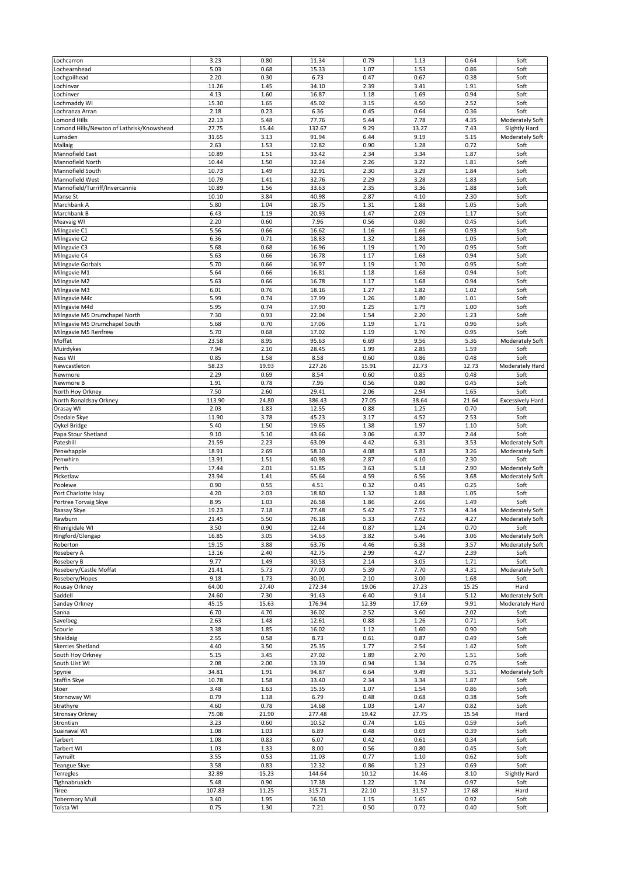| Lochcarron                                | 3.23   | 0.80  | 11.34  | 0.79  | 1.13  | 0.64  | Soft                    |
|-------------------------------------------|--------|-------|--------|-------|-------|-------|-------------------------|
|                                           | 5.03   |       |        | 1.07  | 1.53  | 0.86  |                         |
| .ochearnhead                              |        | 0.68  | 15.33  |       |       |       | Soft                    |
| .ochgoilhead                              | 2.20   | 0.30  | 6.73   | 0.47  | 0.67  | 0.38  | Soft                    |
| .ochinvar                                 | 11.26  | 1.45  | 34.10  | 2.39  | 3.41  | 1.91  | Soft                    |
| .ochinver                                 | 4.13   | 1.60  | 16.87  | 1.18  | 1.69  | 0.94  | Soft                    |
|                                           | 15.30  | 1.65  | 45.02  | 3.15  | 4.50  | 2.52  | Soft                    |
| ochmaddy WI                               |        |       |        |       |       |       |                         |
| ochranza Arran.                           | 2.18   | 0.23  | 6.36   | 0.45  | 0.64  | 0.36  | Soft                    |
| omond Hills                               | 22.13  | 5.48  | 77.76  | 5.44  | 7.78  | 4.35  | Moderately Soft         |
| omond Hills/Newton of Lathrisk/Knowshead. | 27.75  | 15.44 | 132.67 | 9.29  | 13.27 | 7.43  | Slightly Hard           |
|                                           |        |       |        |       |       |       |                         |
| umsden.                                   | 31.65  | 3.13  | 91.94  | 6.44  | 9.19  | 5.15  | Moderately Soft         |
| Mallaig                                   | 2.63   | 1.53  | 12.82  | 0.90  | 1.28  | 0.72  | Soft                    |
| Mannofield East                           | 10.89  | 1.51  | 33.42  | 2.34  | 3.34  | 1.87  | Soft                    |
| Mannofield North                          | 10.44  | 1.50  | 32.24  | 2.26  | 3.22  | 1.81  | Soft                    |
|                                           |        |       |        |       |       |       |                         |
| Mannofield South                          | 10.73  | 1.49  | 32.91  | 2.30  | 3.29  | 1.84  | Soft                    |
| Mannofield West                           | 10.79  | 1.41  | 32.76  | 2.29  | 3.28  | 1.83  | Soft                    |
| Mannofield/Turriff/Invercannie            | 10.89  | 1.56  | 33.63  | 2.35  | 3.36  | 1.88  | Soft                    |
| Manse St                                  | 10.10  | 3.84  | 40.98  | 2.87  | 4.10  | 2.30  | Soft                    |
|                                           |        |       |        |       |       |       |                         |
| Marchbank A                               | 5.80   | 1.04  | 18.75  | 1.31  | 1.88  | 1.05  | Soft                    |
| Marchbank B                               | 6.43   | 1.19  | 20.93  | 1.47  | 2.09  | 1.17  | Soft                    |
| Meavaig WI                                | 2.20   | 0.60  | 7.96   | 0.56  | 0.80  | 0.45  | Soft                    |
|                                           | 5.56   |       | 16.62  |       |       | 0.93  |                         |
| Milngavie C1                              |        | 0.66  |        | 1.16  | 1.66  |       | Soft                    |
| Milngavie C2                              | 6.36   | 0.71  | 18.83  | 1.32  | 1.88  | 1.05  | Soft                    |
| Milngavie C3                              | 5.68   | 0.68  | 16.96  | 1.19  | 1.70  | 0.95  | Soft                    |
| Milngavie C4                              | 5.63   | 0.66  | 16.78  | 1.17  | 1.68  | 0.94  | Soft                    |
|                                           |        |       |        |       |       |       |                         |
| Milngavie Gorbals                         | 5.70   | 0.66  | 16.97  | 1.19  | 1.70  | 0.95  | Soft                    |
| Milngavie M1                              | 5.64   | 0.66  | 16.81  | 1.18  | 1.68  | 0.94  | Soft                    |
| Milngavie M2                              | 5.63   | 0.66  | 16.78  | 1.17  | 1.68  | 0.94  | Soft                    |
| Milngavie M3                              |        |       |        | 1.27  | 1.82  | 1.02  | Soft                    |
|                                           | 6.01   | 0.76  | 18.16  |       |       |       |                         |
| Milngavie M4c                             | 5.99   | 0.74  | 17.99  | 1.26  | 1.80  | 1.01  | Soft                    |
| Milngavie M4d                             | 5.95   | 0.74  | 17.90  | 1.25  | 1.79  | 1.00  | Soft                    |
| Milngavie M5 Drumchapel North             | 7.30   | 0.93  | 22.04  | 1.54  | 2.20  | 1.23  | Soft                    |
|                                           |        |       |        |       |       |       | Soft                    |
| Milngavie M5 Drumchapel South             | 5.68   | 0.70  | 17.06  | 1.19  | 1.71  | 0.96  |                         |
| Milngavie M5 Renfrew                      | 5.70   | 0.68  | 17.02  | 1.19  | 1.70  | 0.95  | Soft                    |
| Moffat                                    | 23.58  | 8.95  | 95.63  | 6.69  | 9.56  | 5.36  | Moderately Soft         |
| Muirdykes                                 | 7.94   | 2.10  | 28.45  | 1.99  | 2.85  | 1.59  | Soft                    |
|                                           |        |       |        |       |       |       |                         |
| Ness WI                                   | 0.85   | 1.58  | 8.58   | 0.60  | 0.86  | 0.48  | Soft                    |
| Newcastleton                              | 58.23  | 19.93 | 227.26 | 15.91 | 22.73 | 12.73 | Moderately Hard         |
| Newmore                                   | 2.29   | 0.69  | 8.54   | 0.60  | 0.85  | 0.48  | Soft                    |
| Newmore B                                 | 1.91   | 0.78  | 7.96   | 0.56  | 0.80  | 0.45  | Soft                    |
|                                           |        |       |        |       |       |       |                         |
| North Hoy Orkney                          | 7.50   | 2.60  | 29.41  | 2.06  | 2.94  | 1.65  | Soft                    |
| North Ronaldsay Orkney                    | 113.90 | 24.80 | 386.43 | 27.05 | 38.64 | 21.64 | <b>Excessively Hard</b> |
| Orasay WI                                 | 2.03   | 1.83  | 12.55  | 0.88  | 1.25  | 0.70  | Soft                    |
|                                           |        |       |        |       |       |       |                         |
| Osedale Skye                              | 11.90  | 3.78  | 45.23  | 3.17  | 4.52  | 2.53  | Soft                    |
| Oykel Bridge                              | 5.40   | 1.50  | 19.65  | 1.38  | 1.97  | 1.10  | Soft                    |
| Papa Stour Shetland                       | 9.10   | 5.10  | 43.66  | 3.06  | 4.37  | 2.44  | Soft                    |
| Pateshill                                 | 21.59  | 2.23  | 63.09  | 4.42  | 6.31  | 3.53  | Moderately Soft         |
|                                           |        |       |        |       |       |       |                         |
| Penwhapple                                | 18.91  | 2.69  | 58.30  | 4.08  | 5.83  | 3.26  | Moderately Soft         |
| Penwhirn                                  | 13.91  | 1.51  | 40.98  | 2.87  | 4.10  | 2.30  | Soft                    |
| Perth                                     | 17.44  | 2.01  | 51.85  | 3.63  | 5.18  | 2.90  | Moderately Soft         |
|                                           |        |       |        |       |       |       |                         |
| Picketlaw                                 | 23.94  | 1.41  | 65.64  | 4.59  | 6.56  | 3.68  | Moderately Soft         |
| Poolewe                                   | 0.90   | 0.55  | 4.51   | 0.32  | 0.45  | 0.25  | Soft                    |
| Port Charlotte Islay                      | 4.20   | 2.03  | 18.80  | 1.32  | 1.88  | 1.05  | Soft                    |
| Portree Torvaig Skye                      | 8.95   | 1.03  | 26.58  | 1.86  | 2.66  | 1.49  | Soft                    |
|                                           |        |       |        |       |       |       |                         |
| Raasay Skye                               | 19.23  | 7.18  | 77.48  | 5.42  | 7.75  | 4.34  | Moderately Soft         |
| Rawburn                                   | 21.45  | 5.50  | 76.18  | 5.33  | 7.62  | 4.27  | Moderately Soft         |
| Rhenigidale WI                            | 3.50   | 0.90  | 12.44  | 0.87  | 1.24  | 0.70  | Soft                    |
| Ringford/Glengap                          | 16.85  | 3.05  | 54.63  | 3.82  | 5.46  | 3.06  | Moderately Soft         |
|                                           |        |       |        |       |       |       |                         |
| Roberton                                  | 19.15  | 3.88  | 63.76  | 4.46  | 6.38  | 3.57  | Moderately Soft         |
| Rosebery A                                | 13.16  | 2.40  | 42.75  | 2.99  | 4.27  | 2.39  | Soft                    |
| Rosebery B                                | 9.77   | 1.49  | 30.53  | 2.14  | 3.05  | 1.71  | Soft                    |
|                                           | 21.41  | 5.73  | 77.00  | 5.39  | 7.70  | 4.31  | Moderately Soft         |
| Rosebery/Castle Moffat                    |        |       |        |       |       |       |                         |
| Rosebery/Hopes                            | 9.18   | 1.73  | 30.01  | 2.10  | 3.00  | 1.68  | Soft                    |
| Rousay Orkney                             | 64.00  | 27.40 | 272.34 | 19.06 | 27.23 | 15.25 | Hard                    |
| Saddell                                   | 24.60  | 7.30  | 91.43  | 6.40  | 9.14  | 5.12  | Moderately Soft         |
| Sanday Orkney                             | 45.15  | 15.63 | 176.94 | 12.39 | 17.69 | 9.91  | Moderately Hard         |
|                                           |        |       |        |       |       |       |                         |
| Sanna                                     | 6.70   | 4.70  | 36.02  | 2.52  | 3.60  | 2.02  | Soft                    |
| Savelbeg                                  | 2.63   | 1.48  | 12.61  | 0.88  | 1.26  | 0.71  | Soft                    |
| Scourie                                   | 3.38   | 1.85  | 16.02  | 1.12  | 1.60  | 0.90  | Soft                    |
| Shieldaig                                 | 2.55   | 0.58  | 8.73   | 0.61  | 0.87  | 0.49  | Soft                    |
|                                           |        |       |        |       |       |       |                         |
| Skerries Shetland                         | 4.40   | 3.50  | 25.35  | 1.77  | 2.54  | 1.42  | Soft                    |
| South Hoy Orkney                          | 5.15   | 3.45  | 27.02  | 1.89  | 2.70  | 1.51  | Soft                    |
| South Uist WI                             | 2.08   | 2.00  | 13.39  | 0.94  | 1.34  | 0.75  | Soft                    |
| Spynie                                    | 34.81  | 1.91  | 94.87  | 6.64  | 9.49  | 5.31  | Moderately Soft         |
|                                           |        |       |        |       |       |       |                         |
| <b>Staffin Skye</b>                       | 10.78  | 1.58  | 33.40  | 2.34  | 3.34  | 1.87  | Soft                    |
| Stoer                                     | 3.48   | 1.63  | 15.35  | 1.07  | 1.54  | 0.86  | Soft                    |
| Stornoway WI                              | 0.79   | 1.18  | 6.79   | 0.48  | 0.68  | 0.38  | Soft                    |
| Strathyre                                 | 4.60   | 0.78  | 14.68  | 1.03  | 1.47  | 0.82  | Soft                    |
|                                           |        |       |        |       |       |       |                         |
| Stronsay Orkney                           | 75.08  | 21.90 | 277.48 | 19.42 | 27.75 | 15.54 | Hard                    |
| Strontian                                 | 3.23   | 0.60  | 10.52  | 0.74  | 1.05  | 0.59  | Soft                    |
| Suainaval WI                              | 1.08   | 1.03  | 6.89   | 0.48  | 0.69  | 0.39  | Soft                    |
| Tarbert                                   |        |       |        | 0.42  |       |       |                         |
|                                           | 1.08   | 0.83  | 6.07   |       | 0.61  | 0.34  | Soft                    |
| <b>Tarbert WI</b>                         | 1.03   | 1.33  | 8.00   | 0.56  | 0.80  | 0.45  | Soft                    |
| Taynuilt                                  | 3.55   | 0.53  | 11.03  | 0.77  | 1.10  | 0.62  | Soft                    |
| <b>Feangue Skye</b>                       | 3.58   | 0.83  | 12.32  | 0.86  | 1.23  | 0.69  | Soft                    |
|                                           |        |       |        |       |       |       |                         |
| Terregles                                 | 32.89  | 15.23 | 144.64 | 10.12 | 14.46 | 8.10  | Slightly Hard           |
| Tighnabruaich                             | 5.48   | 0.90  | 17.38  | 1.22  | 1.74  | 0.97  | Soft                    |
| Tiree                                     | 107.83 | 11.25 | 315.71 | 22.10 | 31.57 | 17.68 | Hard                    |
| <b>Tobermory Mull</b>                     |        | 1.95  | 16.50  |       |       | 0.92  | Soft                    |
|                                           | 3.40   |       |        | 1.15  | 1.65  |       |                         |
| Tolsta WI                                 | 0.75   | 1.30  | 7.21   | 0.50  | 0.72  | 0.40  | Soft                    |